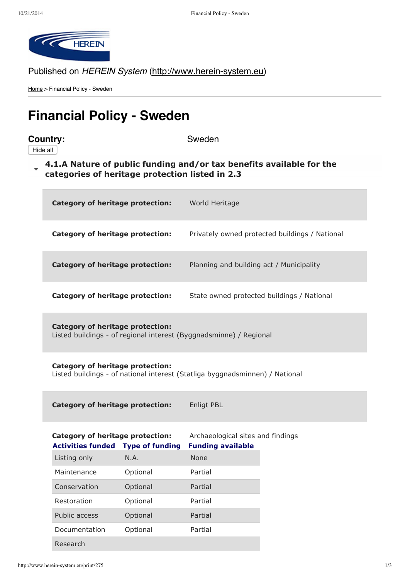

## Published on HEREIN System (http://www.herein-system.eu)

Home > Financial Policy - Sweden

# **Financial Policy - Sweden**

## **Country:** Sweden

Hide all

**4.1.A Nature of public funding and/or tax benefits available for the [categories](http://www.herein-system.eu/print/275#) of heritage protection listed in 2.3**

| <b>Category of heritage protection:</b> | World Heritage                                 |
|-----------------------------------------|------------------------------------------------|
| Category of heritage protection:        | Privately owned protected buildings / National |
| Category of heritage protection:        | Planning and building act / Municipality       |
| Category of heritage protection:        | State owned protected buildings / National     |

**Category of heritage protection:** Listed buildings - of regional interest (Byggnadsminne) / Regional

**Category of heritage protection:** Listed buildings - of national interest (Statliga byggnadsminnen) / National

**Category of heritage protection:** Enligt PBL

| Category of heritage protection:<br><b>Activities funded</b> | <b>Type of funding</b> | Archaeological sites and findings<br><b>Funding available</b> |
|--------------------------------------------------------------|------------------------|---------------------------------------------------------------|
| Listing only                                                 | N.A.                   | <b>None</b>                                                   |
| Maintenance                                                  | Optional               | Partial                                                       |
| Conservation                                                 | Optional               | Partial                                                       |
| Restoration                                                  | Optional               | Partial                                                       |
| Public access                                                | Optional               | Partial                                                       |
| Documentation                                                | Optional               | Partial                                                       |
| Research                                                     |                        |                                                               |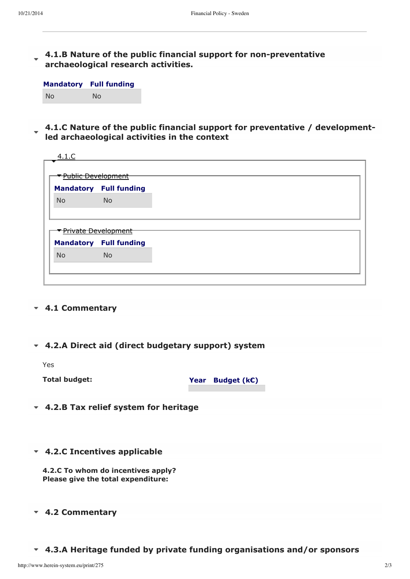### **4.1.B Nature of the public financial support for [nonpreventative](http://www.herein-system.eu/print/275#) archaeological research activities.**

| <b>Mandatory</b> | <b>Full funding</b> |
|------------------|---------------------|
| No               | No.                 |

**4.1.C Nature of the public financial support for preventative / developmentled [archaeological](http://www.herein-system.eu/print/275#) activities in the context**

| 4.1.C                            |                               |  |
|----------------------------------|-------------------------------|--|
|                                  |                               |  |
| <u> Public Development</u>       |                               |  |
|                                  | <b>Mandatory Full funding</b> |  |
| <b>No</b>                        | <b>No</b>                     |  |
|                                  |                               |  |
|                                  |                               |  |
| <del>• Private Development</del> |                               |  |
|                                  | <b>Mandatory Full funding</b> |  |
| <b>No</b>                        | <b>No</b>                     |  |
|                                  |                               |  |
|                                  |                               |  |

#### **4.1 [Commentary](http://www.herein-system.eu/print/275#)**

**4.2.A Direct aid (direct [budgetary](http://www.herein-system.eu/print/275#) support) system**

Yes

**Total budget: Year Budget (k€)**

- **4.2.B Tax relief system for [heritage](http://www.herein-system.eu/print/275#)**
- **4.2.C [Incentives](http://www.herein-system.eu/print/275#) applicable**

**4.2.C To whom do incentives apply? Please give the total expenditure:**

#### **4.2 [Commentary](http://www.herein-system.eu/print/275#)**

**4.3.A Heritage funded by private funding [organisations](http://www.herein-system.eu/print/275#) and/or sponsors**